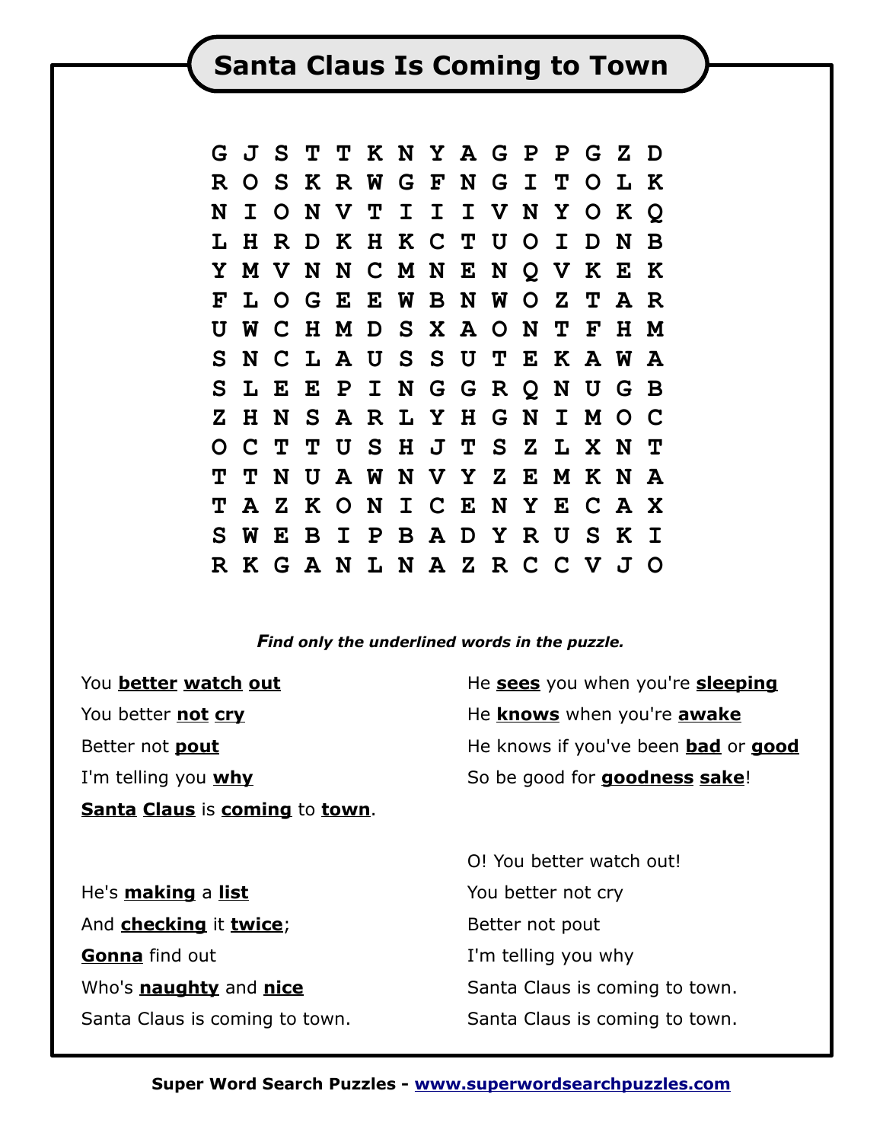## **Santa Claus Is Coming to Town**

**G J S T T K N Y A G P P G Z D R O S K R W G F N G I T O L K N I O N V T I I I V N Y O K Q L H R D K H K C T U O I D N B Y M V N N C M N E N Q V K E K F L O G E E W B N W O Z T A R U W C H M D S X A O N T F H M S N C L A U S S U T E K A W A S L E E P I N G G R Q N U G B Z H N S A R L Y H G N I M O C O C T T U S H J T S Z L X N T T T N U A W N V Y Z E M K N A T A Z K O N I C E N Y E C A X S W E B I P B A D Y R U S K I R K G A N L N A Z R C C V J O** 

## *Find only the underlined words in the puzzle.*

You **better watch out** You better **not cry** Better not **pout** I'm telling you **why Santa Claus** is **coming** to **town**. He **sees** you when you're **sleeping** He **knows** when you're **awake** He knows if you've been **bad** or **good** So be good for **goodness sake**!

He's **making** a **list** And **checking** it **twice**; **Gonna** find out Who's **naughty** and **nice** Santa Claus is coming to town.

O! You better watch out! You better not cry Better not pout I'm telling you why Santa Claus is coming to town. Santa Claus is coming to town.